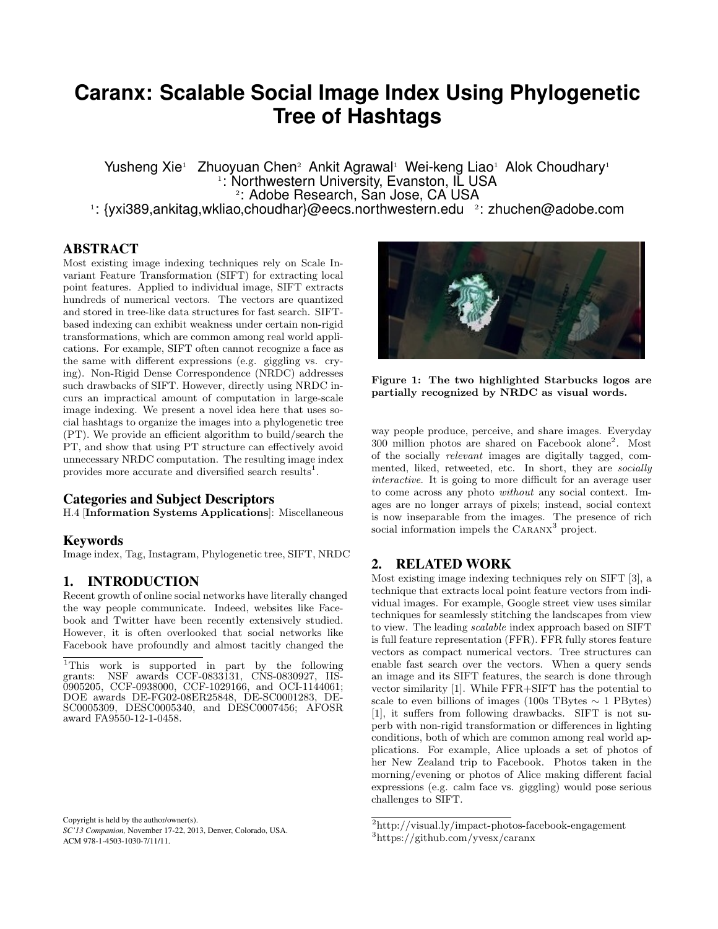# **Caranx: Scalable Social Image Index Using Phylogenetic Tree of Hashtags**

Yusheng Xie<sup>1</sup> Zhuoyuan Chen<sup>2</sup> Ankit Agrawal<sup>1</sup> Wei-keng Liao<sup>1</sup> Alok Choudhary<sup>1</sup> 1 : Northwestern University, Evanston, IL USA 2 : Adobe Research, San Jose, CA USA <sup>1</sup>: {yxi389,ankitag,wkliao,choudhar}@eecs.northwestern.edu 2: zhuchen@adobe.com

ABSTRACT

Most existing image indexing techniques rely on Scale Invariant Feature Transformation (SIFT) for extracting local point features. Applied to individual image, SIFT extracts hundreds of numerical vectors. The vectors are quantized and stored in tree-like data structures for fast search. SIFTbased indexing can exhibit weakness under certain non-rigid transformations, which are common among real world applications. For example, SIFT often cannot recognize a face as the same with different expressions (e.g. giggling vs. crying). Non-Rigid Dense Correspondence (NRDC) addresses such drawbacks of SIFT. However, directly using NRDC incurs an impractical amount of computation in large-scale image indexing. We present a novel idea here that uses social hashtags to organize the images into a phylogenetic tree (PT). We provide an efficient algorithm to build/search the PT, and show that using PT structure can effectively avoid unnecessary NRDC computation. The resulting image index provides more accurate and diversified search results<sup>1</sup>.

### Categories and Subject Descriptors

H.4 [Information Systems Applications]: Miscellaneous

#### Keywords

Image index, Tag, Instagram, Phylogenetic tree, SIFT, NRDC

## 1. INTRODUCTION

Recent growth of online social networks have literally changed the way people communicate. Indeed, websites like Facebook and Twitter have been recently extensively studied. However, it is often overlooked that social networks like Facebook have profoundly and almost tacitly changed the

Copyright is held by the author/owner(s). *SC'13 Companion,* November 17-22, 2013, Denver, Colorado, USA. ACM 978-1-4503-1030-7/11/11.



Figure 1: The two highlighted Starbucks logos are partially recognized by NRDC as visual words.

way people produce, perceive, and share images. Everyday 300 million photos are shared on Facebook alone<sup>2</sup> . Most of the socially relevant images are digitally tagged, commented, liked, retweeted, etc. In short, they are socially interactive. It is going to more difficult for an average user to come across any photo without any social context. Images are no longer arrays of pixels; instead, social context is now inseparable from the images. The presence of rich social information impels the CARANX<sup>3</sup> project.

# 2. RELATED WORK

Most existing image indexing techniques rely on SIFT [3], a technique that extracts local point feature vectors from individual images. For example, Google street view uses similar techniques for seamlessly stitching the landscapes from view to view. The leading scalable index approach based on SIFT is full feature representation (FFR). FFR fully stores feature vectors as compact numerical vectors. Tree structures can enable fast search over the vectors. When a query sends an image and its SIFT features, the search is done through vector similarity [1]. While FFR+SIFT has the potential to scale to even billions of images (100s TBytes  $\sim$  1 PBytes) [1], it suffers from following drawbacks. SIFT is not superb with non-rigid transformation or differences in lighting conditions, both of which are common among real world applications. For example, Alice uploads a set of photos of her New Zealand trip to Facebook. Photos taken in the morning/evening or photos of Alice making different facial expressions (e.g. calm face vs. giggling) would pose serious challenges to SIFT.

<sup>1</sup>This work is supported in part by the following grants: NSF awards CCF-0833131, CNS-0830927, IIS-0905205, CCF-0938000, CCF-1029166, and OCI-1144061; DOE awards DE-FG02-08ER25848, DE-SC0001283, DE-SC0005309, DESC0005340, and DESC0007456; AFOSR award FA9550-12-1-0458.

 $\rm ^2$ http://visual.ly/impact-photos-facebook-engagement

<sup>3</sup>https://github.com/yvesx/caranx